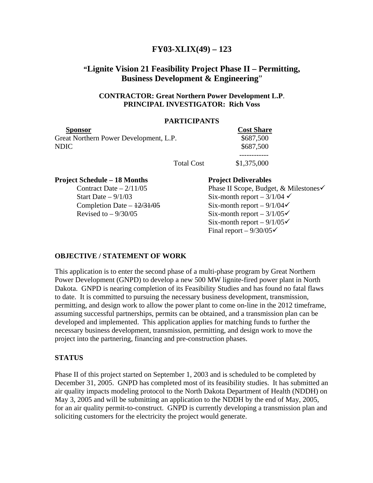# **FY03-XLIX(49) – 123**

# **"Lignite Vision 21 Feasibility Project Phase II – Permitting, Business Development & Engineering**"

# **CONTRACTOR: Great Northern Power Development L.P**. **PRINCIPAL INVESTIGATOR: Rich Voss**

### **PARTICIPANTS**

| <b>Sponsor</b>                         |                   | <b>Cost Share</b> |
|----------------------------------------|-------------------|-------------------|
| Great Northern Power Development, L.P. |                   | \$687,500         |
| NDIC                                   |                   | \$687,500         |
|                                        |                   |                   |
|                                        | <b>Total Cost</b> | \$1,375,000       |

**Project Schedule – 18 Months Project Deliverables** 

Contract Date –  $2/11/05$  Phase II Scope, Budget, & Milestones Start Date –  $9/1/03$  Six-month report –  $3/1/04 \checkmark$ Completion Date –  $\frac{12}{31/05}$  Six-month report –  $\frac{9}{1/04}$ Revised to  $-9/30/05$  Six-month report  $-3/1/05\checkmark$ Six-month report –  $9/1/05\checkmark$ Final report –  $9/30/05\checkmark$ 

# **OBJECTIVE / STATEMENT OF WORK**

This application is to enter the second phase of a multi-phase program by Great Northern Power Development (GNPD) to develop a new 500 MW lignite-fired power plant in North Dakota. GNPD is nearing completion of its Feasibility Studies and has found no fatal flaws to date. It is committed to pursuing the necessary business development, transmission, permitting, and design work to allow the power plant to come on-line in the 2012 timeframe, assuming successful partnerships, permits can be obtained, and a transmission plan can be developed and implemented. This application applies for matching funds to further the necessary business development, transmission, permitting, and design work to move the project into the partnering, financing and pre-construction phases.

# **STATUS**

Phase II of this project started on September 1, 2003 and is scheduled to be completed by December 31, 2005. GNPD has completed most of its feasibility studies. It has submitted an air quality impacts modeling protocol to the North Dakota Department of Health (NDDH) on May 3, 2005 and will be submitting an application to the NDDH by the end of May, 2005, for an air quality permit-to-construct. GNPD is currently developing a transmission plan and soliciting customers for the electricity the project would generate.